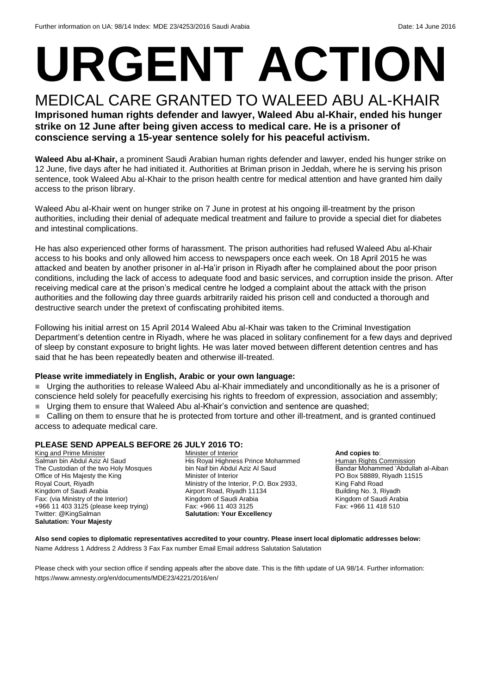# **URGENT ACTION**

MEDICAL CARE GRANTED TO WALEED ABU AL-KHAIR **Imprisoned human rights defender and lawyer, Waleed Abu al-Khair, ended his hunger strike on 12 June after being given access to medical care. He is a prisoner of conscience serving a 15-year sentence solely for his peaceful activism.** 

**Waleed Abu al-Khair,** a prominent Saudi Arabian human rights defender and lawyer, ended his hunger strike on 12 June, five days after he had initiated it. Authorities at Briman prison in Jeddah, where he is serving his prison sentence, took Waleed Abu al-Khair to the prison health centre for medical attention and have granted him daily access to the prison library.

Waleed Abu al-Khair went on hunger strike on 7 June in protest at his ongoing ill-treatment by the prison authorities, including their denial of adequate medical treatment and failure to provide a special diet for diabetes and intestinal complications.

He has also experienced other forms of harassment. The prison authorities had refused Waleed Abu al-Khair access to his books and only allowed him access to newspapers once each week. On 18 April 2015 he was attacked and beaten by another prisoner in al-Ha'ir prison in Riyadh after he complained about the poor prison conditions, including the lack of access to adequate food and basic services, and corruption inside the prison. After receiving medical care at the prison's medical centre he lodged a complaint about the attack with the prison authorities and the following day three guards arbitrarily raided his prison cell and conducted a thorough and destructive search under the pretext of confiscating prohibited items.

Following his initial arrest on 15 April 2014 Waleed Abu al-Khair was taken to the Criminal Investigation Department's detention centre in Riyadh, where he was placed in solitary confinement for a few days and deprived of sleep by constant exposure to bright lights. He was later moved between different detention centres and has said that he has been repeatedly beaten and otherwise ill-treated.

#### **Please write immediately in English, Arabic or your own language:**

 Urging the authorities to release Waleed Abu al-Khair immediately and unconditionally as he is a prisoner of conscience held solely for peacefully exercising his rights to freedom of expression, association and assembly;

Urging them to ensure that Waleed Abu al-Khair's conviction and sentence are quashed;

■ Calling on them to ensure that he is protected from torture and other ill-treatment, and is granted continued access to adequate medical care.

#### **PLEASE SEND APPEALS BEFORE 26 JULY 2016 TO:**

King and Prime Minister Salman bin Abdul Aziz Al Saud The Custodian of the two Holy Mosques Office of His Majesty the King Royal Court, Riyadh Kingdom of Saudi Arabia Fax: (via Ministry of the Interior) +966 11 403 3125 (please keep trying) Twitter: @KingSalman **Salutation: Your Majesty**

Minister of Interior His Royal Highness Prince Mohammed bin Naif bin Abdul Aziz Al Saud Minister of Interior Ministry of the Interior, P.O. Box 2933, Airport Road, Riyadh 11134 Kingdom of Saudi Arabia Fax: +966 11 403 3125 **Salutation: Your Excellency**

#### **And copies to**:

**Human Rights Commission** Bandar Mohammed 'Abdullah al-Aiban PO Box 58889, Riyadh 11515 King Fahd Road Building No. 3, Riyadh Kingdom of Saudi Arabia Fax: +966 11 418 510

**Also send copies to diplomatic representatives accredited to your country. Please insert local diplomatic addresses below:** Name Address 1 Address 2 Address 3 Fax Fax number Email Email address Salutation Salutation

Please check with your section office if sending appeals after the above date. This is the fifth update of UA 98/14. Further information: https://www.amnesty.org/en/documents/MDE23/4221/2016/en/